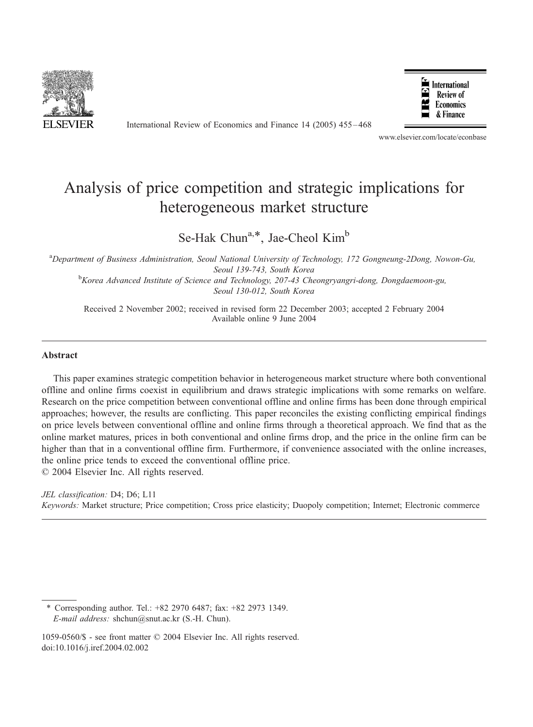

International Review of Economics and Finance 14 (2005) 455 – 468



www.elsevier.com/locate/econbase

## Analysis of price competition and strategic implications for heterogeneous market structure

Se-Hak Chun<sup>a,\*</sup>, Jae-Cheol Kim<sup>b</sup>

<sup>a</sup>Department of Business Administration, Seoul National University of Technology, 172 Gongneung-2Dong, Nowon-Gu, Seoul 139-743, South Korea<br><sup>b</sup>Korea Advanced Institute of Science and Technology, 207-43 Cheongryangri-dong, Dongdaemoon-gu,

Seoul 130-012, South Korea

Received 2 November 2002; received in revised form 22 December 2003; accepted 2 February 2004 Available online 9 June 2004

#### Abstract

This paper examines strategic competition behavior in heterogeneous market structure where both conventional offline and online firms coexist in equilibrium and draws strategic implications with some remarks on welfare. Research on the price competition between conventional offline and online firms has been done through empirical approaches; however, the results are conflicting. This paper reconciles the existing conflicting empirical findings on price levels between conventional offline and online firms through a theoretical approach. We find that as the online market matures, prices in both conventional and online firms drop, and the price in the online firm can be higher than that in a conventional offline firm. Furthermore, if convenience associated with the online increases, the online price tends to exceed the conventional offline price.

© 2004 Elsevier Inc. All rights reserved.

### JEL classification: D4: D6: L11 Keywords: Market structure; Price competition; Cross price elasticity; Duopoly competition; Internet; Electronic commerce

Corresponding author. Tel.: +82 2970 6487; fax: +82 2973 1349. E-mail address: shchun@snut.ac.kr (S.-H. Chun).

1059-0560/\$ - see front matter © 2004 Elsevier Inc. All rights reserved. doi:10.1016/j.iref.2004.02.002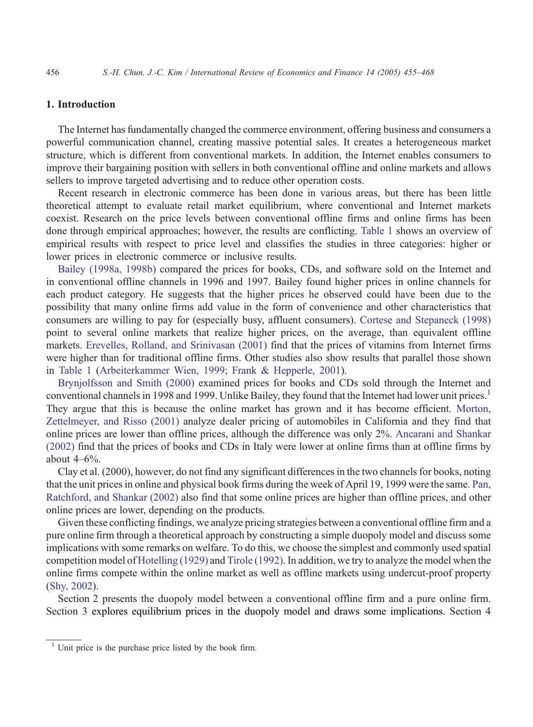### 1. Introduction

The Internet has fundamentally changed the commerce environment, offering business and consumers a powerful communication channel, creating massive potential sales. It creates a heterogeneous market structure, which is different from conventional markets. In addition, the Internet enables consumers to improve their bargaining position with sellers in both conventional offline and online markets and allows sellers to improve targeted advertising and to reduce other operation costs.

Recent research in electronic commerce has been done in various areas, but there has been little theoretical attempt to evaluate retail market equilibrium, where conventional and Internet markets coexist. Research on the price levels between conventional offline firms and online firms has been done through empirical approaches; however, the results are conflicting. [Table 1](#page--1-0) shows an overview of empirical results with respect to price level and classifies the studies in three categories: higher or lower prices in electronic commerce or inclusive results.

[Bailey \(1998a, 1998b\)](#page--1-0) compared the prices for books, CDs, and software sold on the Internet and in conventional offline channels in 1996 and 1997. Bailey found higher prices in online channels for each product category. He suggests that the higher prices he observed could have been due to the possibility that many online firms add value in the form of convenience and other characteristics that consumers are willing to pay for (especially busy, affluent consumers). [Cortese and Stepaneck \(1998\)](#page--1-0) point to several online markets that realize higher prices, on the average, than equivalent offline markets. [Erevelles, Rolland, and Srinivasan \(2001\)](#page--1-0) find that the prices of vitamins from Internet firms were higher than for traditional offline firms. Other studies also show results that parallel those shown in [Table 1](#page--1-0) ([Arbeiterkammer Wien, 1999; Frank & Hepperle, 2001\)](#page--1-0).

[Brynjolfsson and Smith \(2000\)](#page--1-0) examined prices for books and CDs sold through the Internet and conventional channels in 1998 and 1999. Unlike Bailey, they found that the Internet had lower unit prices.<sup>1</sup> They argue that this is because the online market has grown and it has become efficient. [Morton,](#page--1-0) Zettelmeyer, and Risso (2001) analyze dealer pricing of automobiles in California and they find that online prices are lower than offline prices, although the difference was only 2%. [Ancarani and Shankar](#page--1-0) (2002) find that the prices of books and CDs in Italy were lower at online firms than at offline firms by about  $4-6\%$ .

Clay et al. (2000), however, do not find any significant differences in the two channels for books, noting that the unit prices in online and physical book firms during the week of April 19, 1999 were the same. [Pan,](#page--1-0) Ratchford, and Shankar (2002) also find that some online prices are higher than offline prices, and other online prices are lower, depending on the products.

Given these conflicting findings, we analyze pricing strategies between a conventional offline firm and a pure online firm through a theoretical approach by constructing a simple duopoly model and discuss some implications with some remarks on welfare. To do this, we choose the simplest and commonly used spatial competition model of [Hotelling \(1929\)](#page--1-0) and [Tirole \(1992\).](#page--1-0) In addition, we try to analyze the model when the online firms compete within the online market as well as offline markets using undercut-proof property ([Shy, 2002\)](#page--1-0).

Section 2 presents the duopoly model between a conventional offline firm and a pure online firm. Section 3 explores equilibrium prices in the duopoly model and draws some implications. Section 4

 $<sup>1</sup>$  Unit price is the purchase price listed by the book firm.</sup>